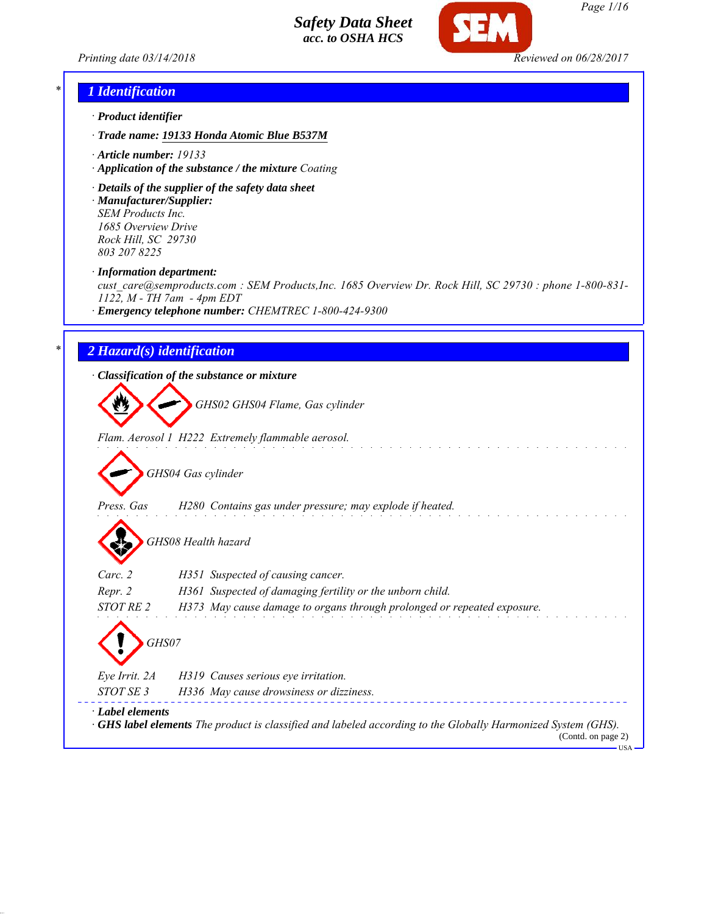



### *\* 1 Identification*

- *· Product identifier*
- *· Trade name: 19133 Honda Atomic Blue B537M*
- *· Article number: 19133*
- *· Application of the substance / the mixture Coating*
- *· Details of the supplier of the safety data sheet · Manufacturer/Supplier: SEM Products Inc.*

*1685 Overview Drive Rock Hill, SC 29730 803 207 8225*

*· Information department:*

*cust\_care@semproducts.com : SEM Products,Inc. 1685 Overview Dr. Rock Hill, SC 29730 : phone 1-800-831- 1122, M - TH 7am - 4pm EDT*

*· Emergency telephone number: CHEMTREC 1-800-424-9300*

#### *\* 2 Hazard(s) identification*

*· Classification of the substance or mixture*

*GHS02 GHS04 Flame, Gas cylinder*

*Flam. Aerosol 1 H222 Extremely flammable aerosol.*

*GHS04 Gas cylinder*

*Press. Gas H280 Contains gas under pressure; may explode if heated.*

*GHS08 Health hazard*

| $\mathbf{v}$     |                                                                                                                                           |
|------------------|-------------------------------------------------------------------------------------------------------------------------------------------|
| Carc. 2          | H351 Suspected of causing cancer.                                                                                                         |
| Repr. 2          | H361 Suspected of damaging fertility or the unborn child.                                                                                 |
| STOT RE 2        | H373 May cause damage to organs through prolonged or repeated exposure.                                                                   |
| GHS07            |                                                                                                                                           |
| Eve Irrit. 2A    | H319 Causes serious eye irritation.                                                                                                       |
| STOT SE 3        | H336 May cause drowsiness or dizziness.                                                                                                   |
| · Label elements | $\cdot$ GHS label elements The product is classified and labeled according to the Globally Harmonized System (GHS).<br>(Contd. on page 2) |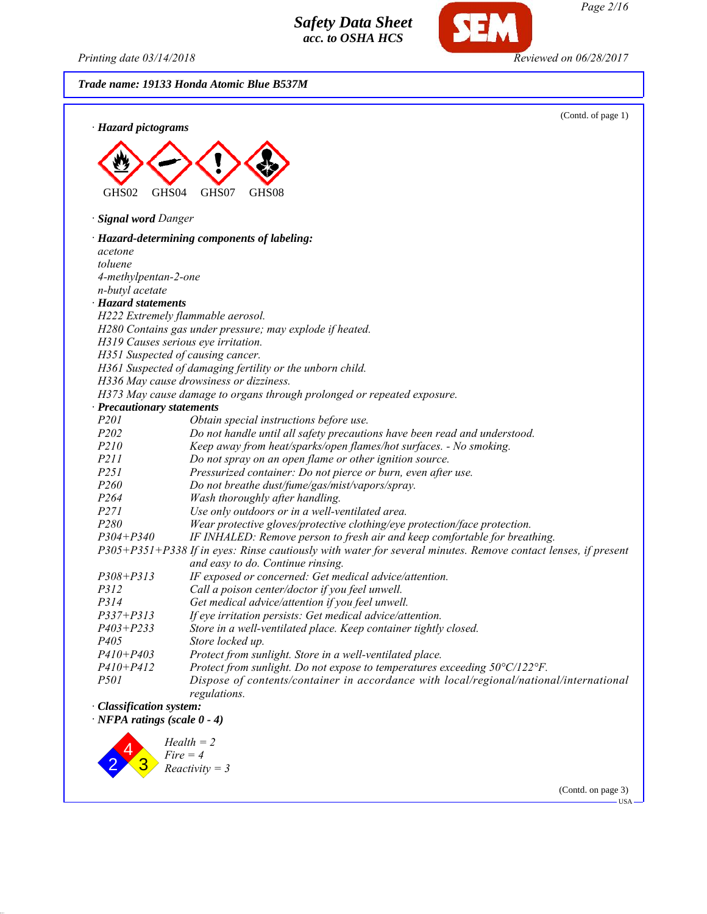*Printing date 03/14/2018 Reviewed on 06/28/2017*

*Trade name: 19133 Honda Atomic Blue B537M*



(Contd. on page 3)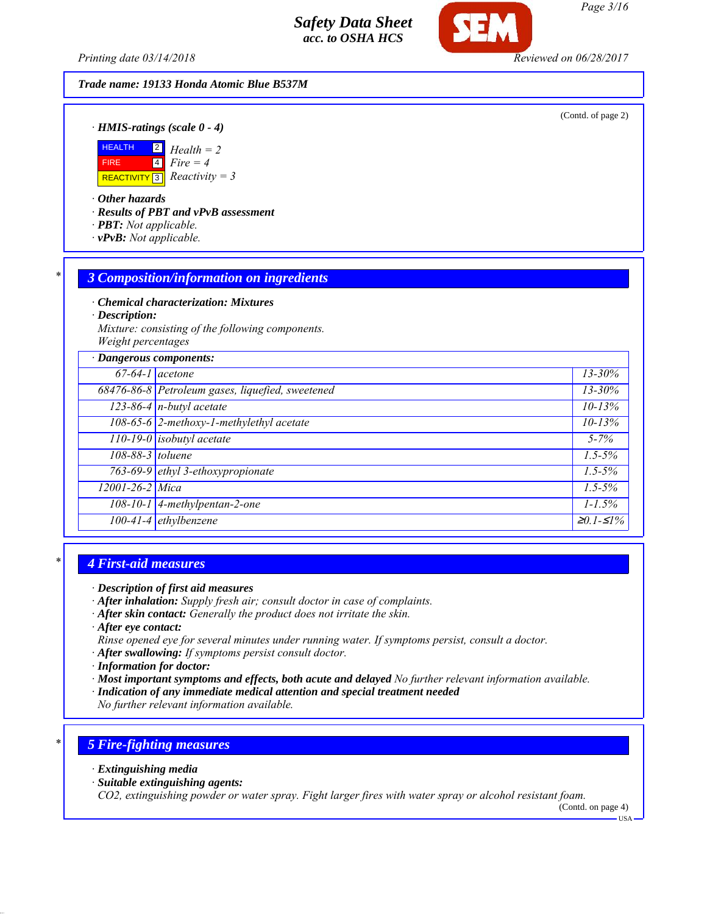*Printing date 03/14/2018 Reviewed on 06/28/2017*

*Trade name: 19133 Honda Atomic Blue B537M*

(Contd. of page 2)

*· HMIS-ratings (scale 0 - 4)*



*· Other hazards*

*· Results of PBT and vPvB assessment*

- *· PBT: Not applicable.*
- *· vPvB: Not applicable.*

#### *\* 3 Composition/information on ingredients*

*· Chemical characterization: Mixtures*

*· Description:*

*Mixture: consisting of the following components. Weight percentages*

| · Dangerous components: |                                                  |             |
|-------------------------|--------------------------------------------------|-------------|
|                         | $67-64-1$ acetone                                | $13 - 30\%$ |
|                         | 68476-86-8 Petroleum gases, liquefied, sweetened | $13 - 30\%$ |
|                         | $123-86-4$ n-butyl acetate                       | $10 - 13%$  |
|                         | 108-65-6 2-methoxy-1-methylethyl acetate         | $10 - 13%$  |
|                         | $110-19-0$ isobutyl acetate                      | $5 - 7\%$   |
| 108-88-3 toluene        |                                                  | $1.5 - 5\%$ |
|                         | 763-69-9 ethyl 3-ethoxypropionate                | $1.5 - 5\%$ |
| 12001-26-2 Mica         |                                                  | $1.5 - 5\%$ |
|                         | $\overline{108-10-1}$ 4-methylpentan-2-one       | $1 - 1.5\%$ |
|                         | $100-41-4$ ethylbenzene                          | $≥0.1-S1%$  |

#### *\* 4 First-aid measures*

- *· After inhalation: Supply fresh air; consult doctor in case of complaints.*
- *· After skin contact: Generally the product does not irritate the skin.*
- *· After eye contact:*
- *Rinse opened eye for several minutes under running water. If symptoms persist, consult a doctor.*
- *· After swallowing: If symptoms persist consult doctor.*
- *· Information for doctor:*
- *· Most important symptoms and effects, both acute and delayed No further relevant information available.*
- *· Indication of any immediate medical attention and special treatment needed*

*No further relevant information available.*

## *\* 5 Fire-fighting measures*

- *· Extinguishing media*
- *· Suitable extinguishing agents:*

*CO2, extinguishing powder or water spray. Fight larger fires with water spray or alcohol resistant foam.*

(Contd. on page 4)

*<sup>·</sup> Description of first aid measures*

USA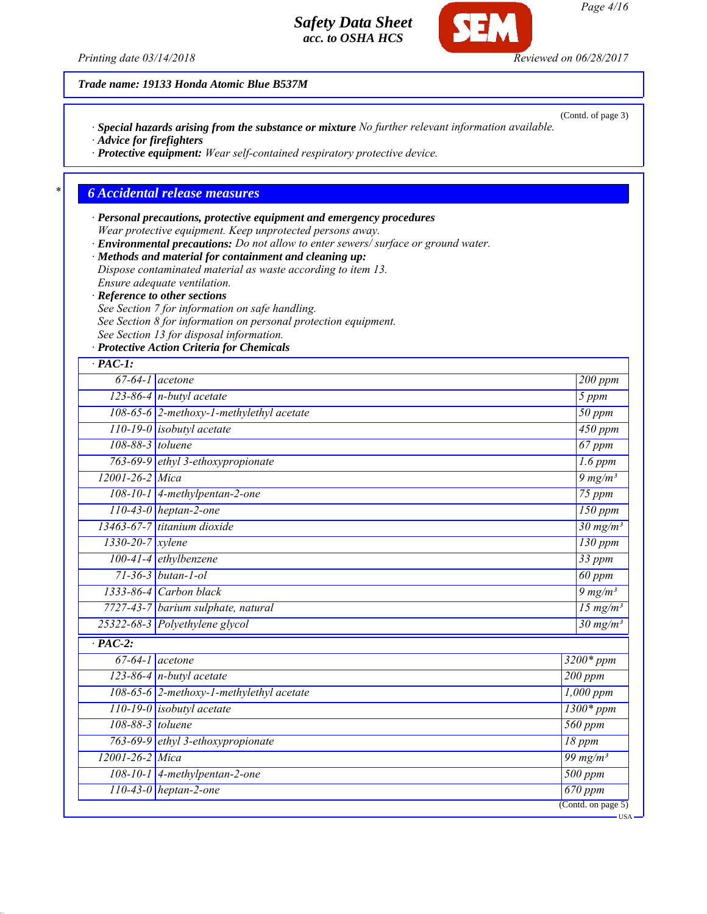

(Contd. of page 3)

*Trade name: 19133 Honda Atomic Blue B537M*

*· Special hazards arising from the substance or mixture No further relevant information available.*

*· Advice for firefighters*

*· Protective equipment: Wear self-contained respiratory protective device.*

#### *\* 6 Accidental release measures*

*· Personal precautions, protective equipment and emergency procedures Wear protective equipment. Keep unprotected persons away. · Environmental precautions: Do not allow to enter sewers/ surface or ground water.*

*· Methods and material for containment and cleaning up: Dispose contaminated material as waste according to item 13. Ensure adequate ventilation.*

*· Reference to other sections*

*See Section 7 for information on safe handling.*

*See Section 8 for information on personal protection equipment.*

*See Section 13 for disposal information.*

*· Protective Action Criteria for Chemicals*

| $\cdot$ PAC-1:       |                                          |                               |
|----------------------|------------------------------------------|-------------------------------|
|                      | $67-64-1$ acetone                        | $200$ ppm                     |
|                      | $123-86-4$ n-butyl acetate               | 5 ppm                         |
|                      | 108-65-6 2-methoxy-1-methylethyl acetate | $50$ ppm                      |
|                      | $110-19-0$ isobutyl acetate              | $450$ ppm                     |
| 108-88-3 toluene     |                                          | $67$ ppm                      |
|                      | 763-69-9 ethyl 3-ethoxypropionate        | $1.6$ ppm                     |
| 12001-26-2 Mica      |                                          | $9 \frac{mg}{m^3}$            |
|                      | $108-10-1$ 4-methylpentan-2-one          | $75$ ppm                      |
|                      | $110-43-0$ heptan-2-one                  | $150$ ppm                     |
|                      | 13463-67-7 titanium dioxide              | $30 \text{ mg/m}^3$           |
| $1330-20-7$ xylene   |                                          | $\overline{130}$ ppm          |
|                      | 100-41-4 ethylbenzene                    | $\overline{33}$ ppm           |
|                      | $71 - 36 - 3$ butan-1-ol                 | $60$ ppm                      |
|                      | $1333-86-4$ Carbon black                 | $9 \frac{mg}{m^3}$            |
|                      | 7727-43-7 barium sulphate, natural       | $\frac{15 \text{ mg}}{m^3}$   |
|                      | 25322-68-3 Polyethylene glycol           | $\frac{30 \text{ mg}}{m^3}$   |
| $\overline{PAC-2}$ : |                                          |                               |
|                      | $67-64-1$ acetone                        | $3200*ppm$                    |
|                      | $123-86-4$ n-butyl acetate               | $200$ ppm                     |
|                      | 108-65-6 2-methoxy-1-methylethyl acetate | $1,000$ ppm                   |
|                      | 110-19-0 isobutyl acetate                | $1300*ppm$                    |
| 108-88-3 toluene     |                                          | 560 ppm                       |
|                      | 763-69-9 ethyl 3-ethoxypropionate        | 18 ppm                        |
| 12001-26-2 Mica      |                                          | $\frac{99 \text{ mg/m}^3}{2}$ |
|                      | $108-10-1$ 4-methylpentan-2-one          | $\overline{500~ppm}$          |
|                      | $110-43-0$ heptan-2-one                  | $\overline{670}$ ppm          |
|                      |                                          | (Cond. on page 5)             |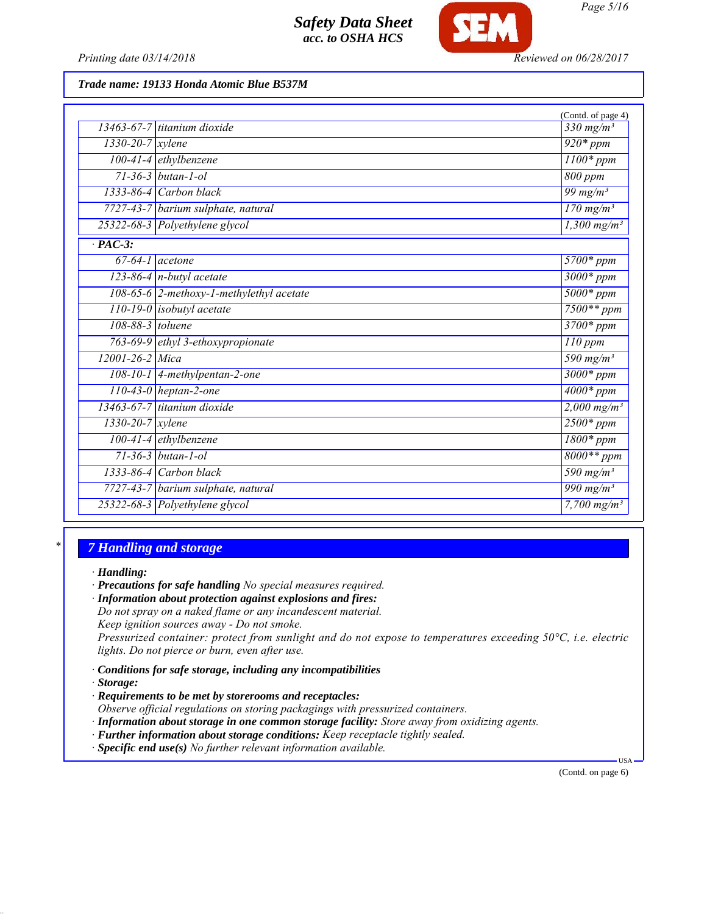

*Trade name: 19133 Honda Atomic Blue B537M*

|                        |                                          | (Contd. of page 4)                 |
|------------------------|------------------------------------------|------------------------------------|
|                        | 13463-67-7 titanium dioxide              | $\overline{330}$ mg/m <sup>3</sup> |
| $1330 - 20 - 7$ xylene |                                          | $920*ppm$                          |
|                        | 100-41-4 ethylbenzene                    | $1100*$ ppm                        |
|                        | $71 - 36 - 3$ butan-1-ol                 | 800 ppm                            |
|                        | $1333-86-4$ Carbon black                 | 99 mg/m $3$                        |
|                        | 7727-43-7 barium sulphate, natural       | $\frac{170 \text{ mg}}{m^3}$       |
|                        | 25322-68-3 Polyethylene glycol           | $\frac{1,300 \text{ mg/m}^3}{2}$   |
| $\cdot$ PAC-3:         |                                          |                                    |
| $67-64-1$ acetone      |                                          | $5700*$ ppm                        |
|                        | $123-86-4$ n-butyl acetate               | $3000*ppm$                         |
|                        | 108-65-6 2-methoxy-1-methylethyl acetate | $5000*ppm$                         |
|                        | $110-19-0$ isobutyl acetate              | $7500**$ ppm                       |
| 108-88-3 toluene       |                                          | $3700*$ ppm                        |
|                        | 763-69-9 ethyl 3-ethoxypropionate        | $110$ ppm                          |
| 12001-26-2 Mica        |                                          | $\frac{590}{mg/m^3}$               |
|                        | $108-10-1$ 4-methylpentan-2-one          | $3000*ppm$                         |
|                        | $110-43-0$ heptan-2-one                  | $4000*ppm$                         |
|                        | 13463-67-7 titanium dioxide              | $2,000 \text{ mg/m}^3$             |
| $1330 - 20 - 7$ xylene |                                          | $2500*$ ppm                        |
|                        | $100-41-4$ ethylbenzene                  | $\overline{1800*ppm}$              |
|                        | $71 - 36 - 3$ butan-1-ol                 | $8000**$ ppm                       |
|                        | $133\overline{3-86-4}$ Carbon black      | $\frac{590 \text{ mg}}{m^3}$       |
|                        | 7727-43-7 barium sulphate, natural       | $\frac{990 \text{ mg}}{m^3}$       |
|                        | 25322-68-3 Polyethylene glycol           | $7,700$ mg/m <sup>3</sup>          |

### *\* 7 Handling and storage*

*· Handling:*

*· Precautions for safe handling No special measures required.*

*· Information about protection against explosions and fires:*

*Do not spray on a naked flame or any incandescent material.*

*Keep ignition sources away - Do not smoke.*

*Pressurized container: protect from sunlight and do not expose to temperatures exceeding 50°C, i.e. electric lights. Do not pierce or burn, even after use.*

- *· Conditions for safe storage, including any incompatibilities*
- *· Storage:*
- *· Requirements to be met by storerooms and receptacles:*

*Observe official regulations on storing packagings with pressurized containers.*

*· Information about storage in one common storage facility: Store away from oxidizing agents.*

*· Further information about storage conditions: Keep receptacle tightly sealed.*

*· Specific end use(s) No further relevant information available.*

(Contd. on page 6)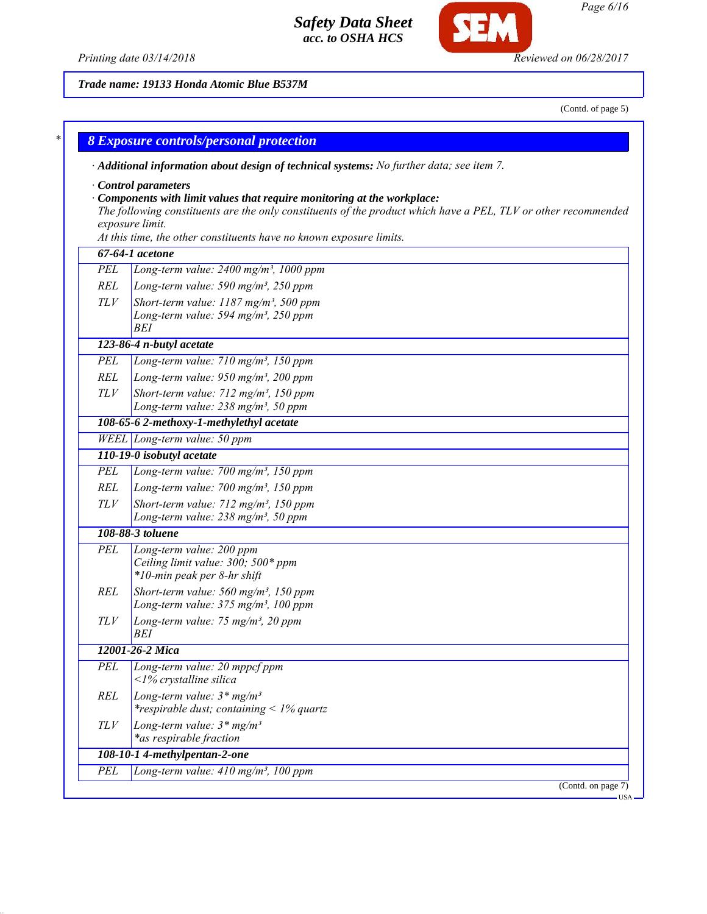*· Additional information about design of technical systems: No further data; see item 7.*





*Trade name: 19133 Honda Atomic Blue B537M*

*\* 8 Exposure controls/personal protection*

(Contd. of page 5)

*Page 6/16*

|     | Control parameters<br>$\cdot$ Components with limit values that require monitoring at the workplace:           |
|-----|----------------------------------------------------------------------------------------------------------------|
|     | The following constituents are the only constituents of the product which have a PEL, TLV or other recommended |
|     | exposure limit.                                                                                                |
|     | At this time, the other constituents have no known exposure limits.                                            |
|     | 67-64-1 acetone                                                                                                |
| PEL | Long-term value: $2400$ mg/m <sup>3</sup> , 1000 ppm                                                           |
| REL | Long-term value: 590 mg/m <sup>3</sup> , 250 ppm                                                               |
| TLV | Short-term value: 1187 mg/m <sup>3</sup> , 500 ppm                                                             |
|     | Long-term value: 594 mg/m <sup>3</sup> , 250 ppm<br><b>BEI</b>                                                 |
|     | 123-86-4 n-butyl acetate                                                                                       |
| PEL | Long-term value: $710$ mg/m <sup>3</sup> , 150 ppm                                                             |
| REL | Long-term value: 950 mg/m <sup>3</sup> , 200 ppm                                                               |
| TLV | Short-term value: 712 mg/m <sup>3</sup> , 150 ppm                                                              |
|     | Long-term value: $238$ mg/m <sup>3</sup> , 50 ppm                                                              |
|     | 108-65-6 2-methoxy-1-methylethyl acetate                                                                       |
|     | WEEL Long-term value: 50 ppm                                                                                   |
|     | 110-19-0 isobutyl acetate                                                                                      |
| PEL | Long-term value: $700$ mg/m <sup>3</sup> , 150 ppm                                                             |
| REL | Long-term value: $700$ mg/m <sup>3</sup> , 150 ppm                                                             |
| TLV | Short-term value: 712 mg/m <sup>3</sup> , 150 ppm                                                              |
|     | Long-term value: $238$ mg/m <sup>3</sup> , 50 ppm                                                              |
|     | 108-88-3 toluene                                                                                               |
| PEL | Long-term value: 200 ppm                                                                                       |
|     | Ceiling limit value: 300; 500* ppm                                                                             |
|     | *10-min peak per 8-hr shift                                                                                    |
| REL | Short-term value: $560$ mg/m <sup>3</sup> , 150 ppm<br>Long-term value: 375 mg/m <sup>3</sup> , 100 ppm        |
| TLV |                                                                                                                |
|     | Long-term value: 75 mg/m <sup>3</sup> , 20 ppm<br>BEI                                                          |
|     | 12001-26-2 Mica                                                                                                |
| PEL | Long-term value: 20 mppcf ppm                                                                                  |
|     | $\langle$ 1% crystalline silica                                                                                |
| REL | Long-term value: $3*mg/m^3$<br><i>*respirable dust; containing</i> < $1\%$ quartz                              |
| TLV | Long-term value: $3*mg/m^3$                                                                                    |
|     | *as respirable fraction                                                                                        |
|     | 108-10-14-methylpentan-2-one                                                                                   |
| PEL | Long-term value: $410 \text{ mg/m}^3$ , 100 ppm                                                                |
|     | (Contd. on page 7)                                                                                             |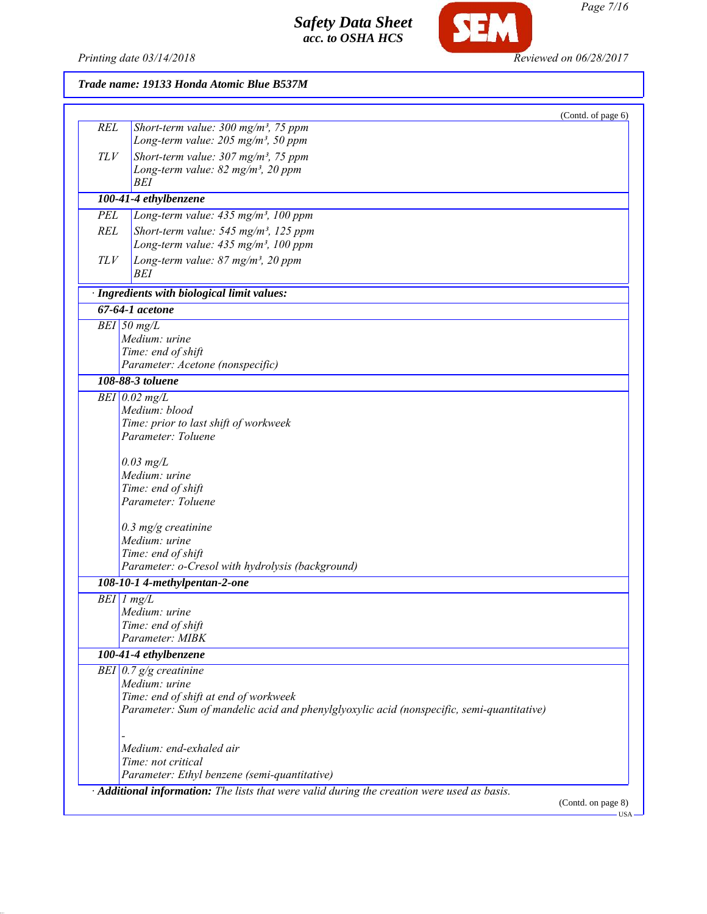

**SEM** 

| (Contd. of page 6)<br><b>REL</b><br>Short-term value: $300 \text{ mg/m}^3$ , 75 ppm<br>Long-term value: $205$ mg/m <sup>3</sup> , 50 ppm<br>TLV<br>Short-term value: $307 \text{ mg/m}^3$ , 75 ppm<br>Long-term value: $82 \text{ mg/m}^3$ , $20 \text{ ppm}$<br>BEI<br>100-41-4 ethylbenzene<br>PEL<br>Long-term value: 435 mg/m <sup>3</sup> , 100 ppm<br><b>REL</b><br>Short-term value: $545$ mg/m <sup>3</sup> , 125 ppm<br>Long-term value: 435 mg/m <sup>3</sup> , 100 ppm<br>TLV<br>Long-term value: 87 mg/m <sup>3</sup> , 20 ppm<br>BEI<br>· Ingredients with biological limit values:<br>67-64-1 acetone<br>$BEI$ 50 mg/L<br>Medium: urine<br>Time: end of shift<br>Parameter: Acetone (nonspecific)<br>108-88-3 toluene<br>$BEI$ 0.02 mg/L<br>Medium: blood<br>Time: prior to last shift of workweek<br>Parameter: Toluene<br>$0.03$ mg/L<br>Medium: urine<br>Time: end of shift<br>Parameter: Toluene<br>$0.3$ mg/g creatinine<br>Medium: urine<br>Time: end of shift<br>Parameter: o-Cresol with hydrolysis (background)<br>108-10-1 4-methylpentan-2-one<br>$BEI$ $1$ $mg/L$<br>Medium: urine<br>Time: end of shift<br>Parameter: MIBK<br>100-41-4 ethylbenzene<br>BEI $0.7$ g/g creatinine<br>Medium: urine<br>Time: end of shift at end of workweek<br>Parameter: Sum of mandelic acid and phenylglyoxylic acid (nonspecific, semi-quantitative)<br>Medium: end-exhaled air<br>Time: not critical<br>Parameter: Ethyl benzene (semi-quantitative)<br>· Additional information: The lists that were valid during the creation were used as basis. | Trade name: 19133 Honda Atomic Blue B537M |
|-------------------------------------------------------------------------------------------------------------------------------------------------------------------------------------------------------------------------------------------------------------------------------------------------------------------------------------------------------------------------------------------------------------------------------------------------------------------------------------------------------------------------------------------------------------------------------------------------------------------------------------------------------------------------------------------------------------------------------------------------------------------------------------------------------------------------------------------------------------------------------------------------------------------------------------------------------------------------------------------------------------------------------------------------------------------------------------------------------------------------------------------------------------------------------------------------------------------------------------------------------------------------------------------------------------------------------------------------------------------------------------------------------------------------------------------------------------------------------------------------------------------------------------------------------------------|-------------------------------------------|
|                                                                                                                                                                                                                                                                                                                                                                                                                                                                                                                                                                                                                                                                                                                                                                                                                                                                                                                                                                                                                                                                                                                                                                                                                                                                                                                                                                                                                                                                                                                                                                   |                                           |
|                                                                                                                                                                                                                                                                                                                                                                                                                                                                                                                                                                                                                                                                                                                                                                                                                                                                                                                                                                                                                                                                                                                                                                                                                                                                                                                                                                                                                                                                                                                                                                   |                                           |
|                                                                                                                                                                                                                                                                                                                                                                                                                                                                                                                                                                                                                                                                                                                                                                                                                                                                                                                                                                                                                                                                                                                                                                                                                                                                                                                                                                                                                                                                                                                                                                   |                                           |
|                                                                                                                                                                                                                                                                                                                                                                                                                                                                                                                                                                                                                                                                                                                                                                                                                                                                                                                                                                                                                                                                                                                                                                                                                                                                                                                                                                                                                                                                                                                                                                   |                                           |
|                                                                                                                                                                                                                                                                                                                                                                                                                                                                                                                                                                                                                                                                                                                                                                                                                                                                                                                                                                                                                                                                                                                                                                                                                                                                                                                                                                                                                                                                                                                                                                   |                                           |
|                                                                                                                                                                                                                                                                                                                                                                                                                                                                                                                                                                                                                                                                                                                                                                                                                                                                                                                                                                                                                                                                                                                                                                                                                                                                                                                                                                                                                                                                                                                                                                   |                                           |
|                                                                                                                                                                                                                                                                                                                                                                                                                                                                                                                                                                                                                                                                                                                                                                                                                                                                                                                                                                                                                                                                                                                                                                                                                                                                                                                                                                                                                                                                                                                                                                   |                                           |
|                                                                                                                                                                                                                                                                                                                                                                                                                                                                                                                                                                                                                                                                                                                                                                                                                                                                                                                                                                                                                                                                                                                                                                                                                                                                                                                                                                                                                                                                                                                                                                   |                                           |
|                                                                                                                                                                                                                                                                                                                                                                                                                                                                                                                                                                                                                                                                                                                                                                                                                                                                                                                                                                                                                                                                                                                                                                                                                                                                                                                                                                                                                                                                                                                                                                   |                                           |
|                                                                                                                                                                                                                                                                                                                                                                                                                                                                                                                                                                                                                                                                                                                                                                                                                                                                                                                                                                                                                                                                                                                                                                                                                                                                                                                                                                                                                                                                                                                                                                   |                                           |
|                                                                                                                                                                                                                                                                                                                                                                                                                                                                                                                                                                                                                                                                                                                                                                                                                                                                                                                                                                                                                                                                                                                                                                                                                                                                                                                                                                                                                                                                                                                                                                   |                                           |
|                                                                                                                                                                                                                                                                                                                                                                                                                                                                                                                                                                                                                                                                                                                                                                                                                                                                                                                                                                                                                                                                                                                                                                                                                                                                                                                                                                                                                                                                                                                                                                   |                                           |
|                                                                                                                                                                                                                                                                                                                                                                                                                                                                                                                                                                                                                                                                                                                                                                                                                                                                                                                                                                                                                                                                                                                                                                                                                                                                                                                                                                                                                                                                                                                                                                   |                                           |
|                                                                                                                                                                                                                                                                                                                                                                                                                                                                                                                                                                                                                                                                                                                                                                                                                                                                                                                                                                                                                                                                                                                                                                                                                                                                                                                                                                                                                                                                                                                                                                   |                                           |
|                                                                                                                                                                                                                                                                                                                                                                                                                                                                                                                                                                                                                                                                                                                                                                                                                                                                                                                                                                                                                                                                                                                                                                                                                                                                                                                                                                                                                                                                                                                                                                   |                                           |
|                                                                                                                                                                                                                                                                                                                                                                                                                                                                                                                                                                                                                                                                                                                                                                                                                                                                                                                                                                                                                                                                                                                                                                                                                                                                                                                                                                                                                                                                                                                                                                   |                                           |
|                                                                                                                                                                                                                                                                                                                                                                                                                                                                                                                                                                                                                                                                                                                                                                                                                                                                                                                                                                                                                                                                                                                                                                                                                                                                                                                                                                                                                                                                                                                                                                   |                                           |
|                                                                                                                                                                                                                                                                                                                                                                                                                                                                                                                                                                                                                                                                                                                                                                                                                                                                                                                                                                                                                                                                                                                                                                                                                                                                                                                                                                                                                                                                                                                                                                   |                                           |
|                                                                                                                                                                                                                                                                                                                                                                                                                                                                                                                                                                                                                                                                                                                                                                                                                                                                                                                                                                                                                                                                                                                                                                                                                                                                                                                                                                                                                                                                                                                                                                   |                                           |
|                                                                                                                                                                                                                                                                                                                                                                                                                                                                                                                                                                                                                                                                                                                                                                                                                                                                                                                                                                                                                                                                                                                                                                                                                                                                                                                                                                                                                                                                                                                                                                   |                                           |
|                                                                                                                                                                                                                                                                                                                                                                                                                                                                                                                                                                                                                                                                                                                                                                                                                                                                                                                                                                                                                                                                                                                                                                                                                                                                                                                                                                                                                                                                                                                                                                   |                                           |
|                                                                                                                                                                                                                                                                                                                                                                                                                                                                                                                                                                                                                                                                                                                                                                                                                                                                                                                                                                                                                                                                                                                                                                                                                                                                                                                                                                                                                                                                                                                                                                   |                                           |
|                                                                                                                                                                                                                                                                                                                                                                                                                                                                                                                                                                                                                                                                                                                                                                                                                                                                                                                                                                                                                                                                                                                                                                                                                                                                                                                                                                                                                                                                                                                                                                   |                                           |
|                                                                                                                                                                                                                                                                                                                                                                                                                                                                                                                                                                                                                                                                                                                                                                                                                                                                                                                                                                                                                                                                                                                                                                                                                                                                                                                                                                                                                                                                                                                                                                   |                                           |
|                                                                                                                                                                                                                                                                                                                                                                                                                                                                                                                                                                                                                                                                                                                                                                                                                                                                                                                                                                                                                                                                                                                                                                                                                                                                                                                                                                                                                                                                                                                                                                   |                                           |
|                                                                                                                                                                                                                                                                                                                                                                                                                                                                                                                                                                                                                                                                                                                                                                                                                                                                                                                                                                                                                                                                                                                                                                                                                                                                                                                                                                                                                                                                                                                                                                   |                                           |
|                                                                                                                                                                                                                                                                                                                                                                                                                                                                                                                                                                                                                                                                                                                                                                                                                                                                                                                                                                                                                                                                                                                                                                                                                                                                                                                                                                                                                                                                                                                                                                   |                                           |
|                                                                                                                                                                                                                                                                                                                                                                                                                                                                                                                                                                                                                                                                                                                                                                                                                                                                                                                                                                                                                                                                                                                                                                                                                                                                                                                                                                                                                                                                                                                                                                   |                                           |
|                                                                                                                                                                                                                                                                                                                                                                                                                                                                                                                                                                                                                                                                                                                                                                                                                                                                                                                                                                                                                                                                                                                                                                                                                                                                                                                                                                                                                                                                                                                                                                   |                                           |
|                                                                                                                                                                                                                                                                                                                                                                                                                                                                                                                                                                                                                                                                                                                                                                                                                                                                                                                                                                                                                                                                                                                                                                                                                                                                                                                                                                                                                                                                                                                                                                   |                                           |
|                                                                                                                                                                                                                                                                                                                                                                                                                                                                                                                                                                                                                                                                                                                                                                                                                                                                                                                                                                                                                                                                                                                                                                                                                                                                                                                                                                                                                                                                                                                                                                   |                                           |
|                                                                                                                                                                                                                                                                                                                                                                                                                                                                                                                                                                                                                                                                                                                                                                                                                                                                                                                                                                                                                                                                                                                                                                                                                                                                                                                                                                                                                                                                                                                                                                   |                                           |
|                                                                                                                                                                                                                                                                                                                                                                                                                                                                                                                                                                                                                                                                                                                                                                                                                                                                                                                                                                                                                                                                                                                                                                                                                                                                                                                                                                                                                                                                                                                                                                   |                                           |
|                                                                                                                                                                                                                                                                                                                                                                                                                                                                                                                                                                                                                                                                                                                                                                                                                                                                                                                                                                                                                                                                                                                                                                                                                                                                                                                                                                                                                                                                                                                                                                   |                                           |
|                                                                                                                                                                                                                                                                                                                                                                                                                                                                                                                                                                                                                                                                                                                                                                                                                                                                                                                                                                                                                                                                                                                                                                                                                                                                                                                                                                                                                                                                                                                                                                   |                                           |
|                                                                                                                                                                                                                                                                                                                                                                                                                                                                                                                                                                                                                                                                                                                                                                                                                                                                                                                                                                                                                                                                                                                                                                                                                                                                                                                                                                                                                                                                                                                                                                   |                                           |
|                                                                                                                                                                                                                                                                                                                                                                                                                                                                                                                                                                                                                                                                                                                                                                                                                                                                                                                                                                                                                                                                                                                                                                                                                                                                                                                                                                                                                                                                                                                                                                   |                                           |
|                                                                                                                                                                                                                                                                                                                                                                                                                                                                                                                                                                                                                                                                                                                                                                                                                                                                                                                                                                                                                                                                                                                                                                                                                                                                                                                                                                                                                                                                                                                                                                   |                                           |
|                                                                                                                                                                                                                                                                                                                                                                                                                                                                                                                                                                                                                                                                                                                                                                                                                                                                                                                                                                                                                                                                                                                                                                                                                                                                                                                                                                                                                                                                                                                                                                   |                                           |
|                                                                                                                                                                                                                                                                                                                                                                                                                                                                                                                                                                                                                                                                                                                                                                                                                                                                                                                                                                                                                                                                                                                                                                                                                                                                                                                                                                                                                                                                                                                                                                   |                                           |
|                                                                                                                                                                                                                                                                                                                                                                                                                                                                                                                                                                                                                                                                                                                                                                                                                                                                                                                                                                                                                                                                                                                                                                                                                                                                                                                                                                                                                                                                                                                                                                   |                                           |
|                                                                                                                                                                                                                                                                                                                                                                                                                                                                                                                                                                                                                                                                                                                                                                                                                                                                                                                                                                                                                                                                                                                                                                                                                                                                                                                                                                                                                                                                                                                                                                   |                                           |
|                                                                                                                                                                                                                                                                                                                                                                                                                                                                                                                                                                                                                                                                                                                                                                                                                                                                                                                                                                                                                                                                                                                                                                                                                                                                                                                                                                                                                                                                                                                                                                   |                                           |
|                                                                                                                                                                                                                                                                                                                                                                                                                                                                                                                                                                                                                                                                                                                                                                                                                                                                                                                                                                                                                                                                                                                                                                                                                                                                                                                                                                                                                                                                                                                                                                   |                                           |
|                                                                                                                                                                                                                                                                                                                                                                                                                                                                                                                                                                                                                                                                                                                                                                                                                                                                                                                                                                                                                                                                                                                                                                                                                                                                                                                                                                                                                                                                                                                                                                   |                                           |
|                                                                                                                                                                                                                                                                                                                                                                                                                                                                                                                                                                                                                                                                                                                                                                                                                                                                                                                                                                                                                                                                                                                                                                                                                                                                                                                                                                                                                                                                                                                                                                   |                                           |

(Contd. on page 8)

USA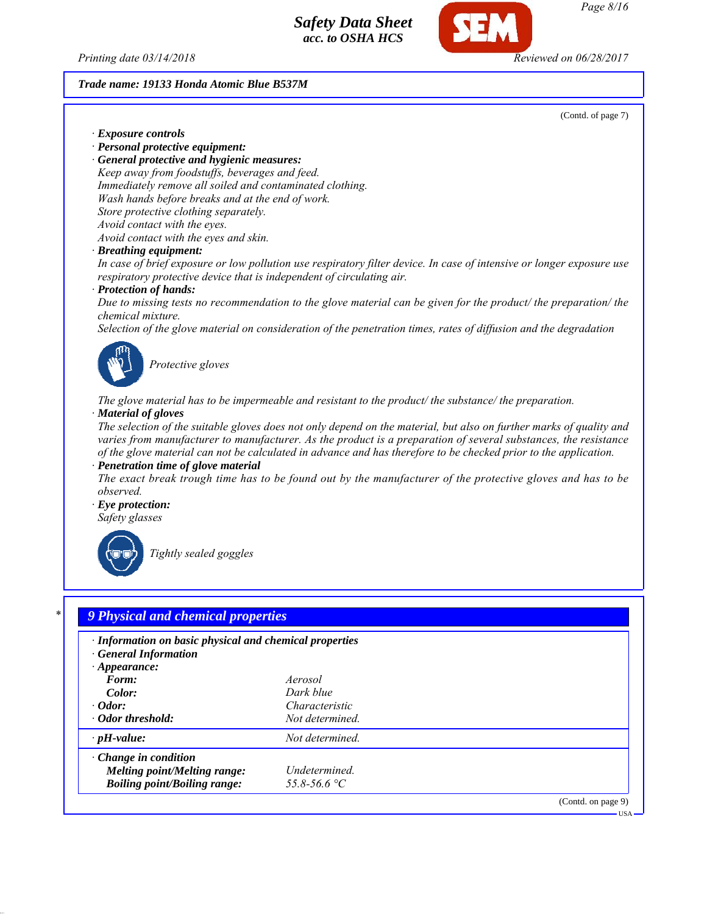*Printing date 03/14/2018 Reviewed on 06/28/2017*

*Trade name: 19133 Honda Atomic Blue B537M*

(Contd. of page 7)

*· Exposure controls*

*· Personal protective equipment:*

*· General protective and hygienic measures: Keep away from foodstuffs, beverages and feed. Immediately remove all soiled and contaminated clothing. Wash hands before breaks and at the end of work. Store protective clothing separately. Avoid contact with the eyes. Avoid contact with the eyes and skin.*

*· Breathing equipment:*

*In case of brief exposure or low pollution use respiratory filter device. In case of intensive or longer exposure use respiratory protective device that is independent of circulating air.*

*· Protection of hands:*

*Due to missing tests no recommendation to the glove material can be given for the product/ the preparation/ the chemical mixture.*

*Selection of the glove material on consideration of the penetration times, rates of diffusion and the degradation*



*Protective gloves*

*The glove material has to be impermeable and resistant to the product/ the substance/ the preparation. · Material of gloves*

*The selection of the suitable gloves does not only depend on the material, but also on further marks of quality and varies from manufacturer to manufacturer. As the product is a preparation of several substances, the resistance of the glove material can not be calculated in advance and has therefore to be checked prior to the application.*

*· Penetration time of glove material*

*The exact break trough time has to be found out by the manufacturer of the protective gloves and has to be observed.*

*· Eye protection: Safety glasses*



*Tightly sealed goggles*

# *\* 9 Physical and chemical properties*

| · Information on basic physical and chemical properties<br>· General Information |                 |                    |
|----------------------------------------------------------------------------------|-----------------|--------------------|
| $\cdot$ Appearance:                                                              |                 |                    |
| Form:                                                                            | Aerosol         |                    |
| Color:                                                                           | Dark blue       |                    |
| $\cdot$ Odor:                                                                    | Characteristic  |                    |
| · Odor threshold:                                                                | Not determined. |                    |
| $\cdot$ pH-value:                                                                | Not determined. |                    |
| $\cdot$ Change in condition                                                      |                 |                    |
| <b>Melting point/Melting range:</b>                                              | Undetermined.   |                    |
| <b>Boiling point/Boiling range:</b>                                              | 55.8-56.6 °C    |                    |
|                                                                                  |                 | (Contd. on page 9) |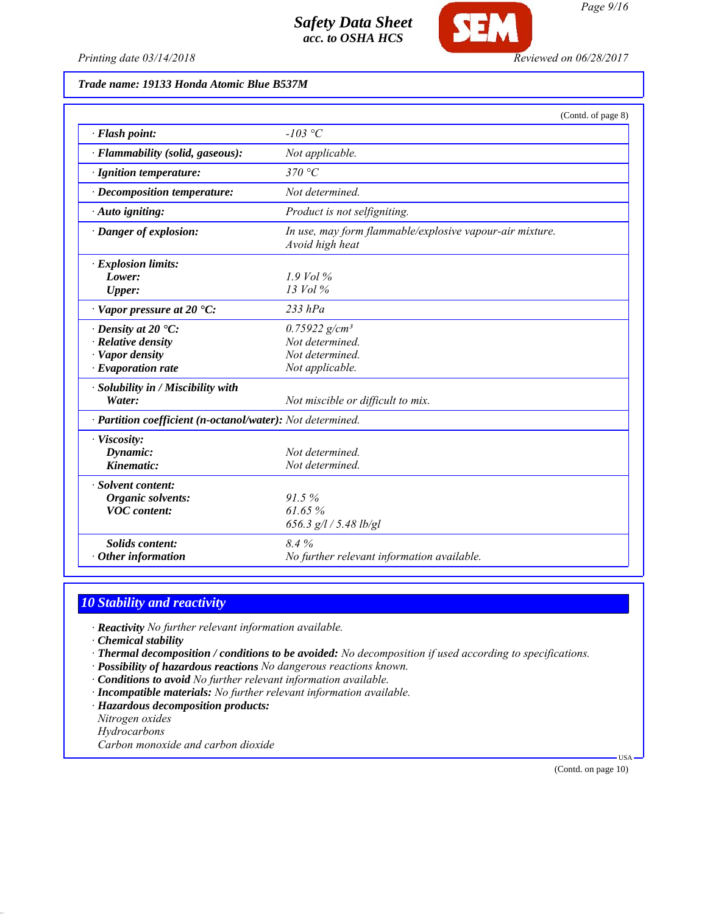

Œ

## *Trade name: 19133 Honda Atomic Blue B537M*

| $-103$ °C<br>· Flash point:<br>· Flammability (solid, gaseous):<br>Not applicable.<br>370 °C<br>· Ignition temperature:<br>Not determined.<br>$\cdot$ Decomposition temperature:<br>Product is not selfigniting.<br>· Auto igniting:<br>· Danger of explosion:<br>In use, may form flammable/explosive vapour-air mixture.<br>Avoid high heat<br>· Explosion limits:<br>$1.9$ Vol %<br>Lower:<br>13 Vol %<br><b>Upper:</b><br>$\cdot$ Vapor pressure at 20 $\cdot$ C:<br>$233$ $hPa$<br>$0.75922$ g/cm <sup>3</sup><br>$\cdot$ Density at 20 $\cdot$ C:<br>$\cdot$ Relative density<br>Not determined.<br>· Vapor density<br>Not determined.<br>$\cdot$ Evaporation rate<br>Not applicable.<br>· Solubility in / Miscibility with<br>Water:<br>Not miscible or difficult to mix.<br>· Partition coefficient (n-octanol/water): Not determined.<br>· Viscosity:<br>Dynamic:<br>Not determined.<br>Kinematic:<br>Not determined.<br>· Solvent content:<br>91.5%<br><b>Organic solvents:</b><br>61.65%<br><b>VOC</b> content:<br>656.3 g/l / 5.48 lb/gl<br>8.4%<br>Solids content: |                   | (Contd. of page 8)                         |
|---------------------------------------------------------------------------------------------------------------------------------------------------------------------------------------------------------------------------------------------------------------------------------------------------------------------------------------------------------------------------------------------------------------------------------------------------------------------------------------------------------------------------------------------------------------------------------------------------------------------------------------------------------------------------------------------------------------------------------------------------------------------------------------------------------------------------------------------------------------------------------------------------------------------------------------------------------------------------------------------------------------------------------------------------------------------------------|-------------------|--------------------------------------------|
|                                                                                                                                                                                                                                                                                                                                                                                                                                                                                                                                                                                                                                                                                                                                                                                                                                                                                                                                                                                                                                                                                 |                   |                                            |
|                                                                                                                                                                                                                                                                                                                                                                                                                                                                                                                                                                                                                                                                                                                                                                                                                                                                                                                                                                                                                                                                                 |                   |                                            |
|                                                                                                                                                                                                                                                                                                                                                                                                                                                                                                                                                                                                                                                                                                                                                                                                                                                                                                                                                                                                                                                                                 |                   |                                            |
|                                                                                                                                                                                                                                                                                                                                                                                                                                                                                                                                                                                                                                                                                                                                                                                                                                                                                                                                                                                                                                                                                 |                   |                                            |
|                                                                                                                                                                                                                                                                                                                                                                                                                                                                                                                                                                                                                                                                                                                                                                                                                                                                                                                                                                                                                                                                                 |                   |                                            |
|                                                                                                                                                                                                                                                                                                                                                                                                                                                                                                                                                                                                                                                                                                                                                                                                                                                                                                                                                                                                                                                                                 |                   |                                            |
|                                                                                                                                                                                                                                                                                                                                                                                                                                                                                                                                                                                                                                                                                                                                                                                                                                                                                                                                                                                                                                                                                 |                   |                                            |
|                                                                                                                                                                                                                                                                                                                                                                                                                                                                                                                                                                                                                                                                                                                                                                                                                                                                                                                                                                                                                                                                                 |                   |                                            |
|                                                                                                                                                                                                                                                                                                                                                                                                                                                                                                                                                                                                                                                                                                                                                                                                                                                                                                                                                                                                                                                                                 |                   |                                            |
|                                                                                                                                                                                                                                                                                                                                                                                                                                                                                                                                                                                                                                                                                                                                                                                                                                                                                                                                                                                                                                                                                 |                   |                                            |
|                                                                                                                                                                                                                                                                                                                                                                                                                                                                                                                                                                                                                                                                                                                                                                                                                                                                                                                                                                                                                                                                                 |                   |                                            |
|                                                                                                                                                                                                                                                                                                                                                                                                                                                                                                                                                                                                                                                                                                                                                                                                                                                                                                                                                                                                                                                                                 |                   |                                            |
|                                                                                                                                                                                                                                                                                                                                                                                                                                                                                                                                                                                                                                                                                                                                                                                                                                                                                                                                                                                                                                                                                 |                   |                                            |
|                                                                                                                                                                                                                                                                                                                                                                                                                                                                                                                                                                                                                                                                                                                                                                                                                                                                                                                                                                                                                                                                                 |                   |                                            |
|                                                                                                                                                                                                                                                                                                                                                                                                                                                                                                                                                                                                                                                                                                                                                                                                                                                                                                                                                                                                                                                                                 |                   |                                            |
|                                                                                                                                                                                                                                                                                                                                                                                                                                                                                                                                                                                                                                                                                                                                                                                                                                                                                                                                                                                                                                                                                 |                   |                                            |
|                                                                                                                                                                                                                                                                                                                                                                                                                                                                                                                                                                                                                                                                                                                                                                                                                                                                                                                                                                                                                                                                                 |                   |                                            |
|                                                                                                                                                                                                                                                                                                                                                                                                                                                                                                                                                                                                                                                                                                                                                                                                                                                                                                                                                                                                                                                                                 |                   |                                            |
|                                                                                                                                                                                                                                                                                                                                                                                                                                                                                                                                                                                                                                                                                                                                                                                                                                                                                                                                                                                                                                                                                 |                   |                                            |
|                                                                                                                                                                                                                                                                                                                                                                                                                                                                                                                                                                                                                                                                                                                                                                                                                                                                                                                                                                                                                                                                                 |                   |                                            |
|                                                                                                                                                                                                                                                                                                                                                                                                                                                                                                                                                                                                                                                                                                                                                                                                                                                                                                                                                                                                                                                                                 |                   |                                            |
|                                                                                                                                                                                                                                                                                                                                                                                                                                                                                                                                                                                                                                                                                                                                                                                                                                                                                                                                                                                                                                                                                 |                   |                                            |
|                                                                                                                                                                                                                                                                                                                                                                                                                                                                                                                                                                                                                                                                                                                                                                                                                                                                                                                                                                                                                                                                                 |                   |                                            |
|                                                                                                                                                                                                                                                                                                                                                                                                                                                                                                                                                                                                                                                                                                                                                                                                                                                                                                                                                                                                                                                                                 |                   |                                            |
|                                                                                                                                                                                                                                                                                                                                                                                                                                                                                                                                                                                                                                                                                                                                                                                                                                                                                                                                                                                                                                                                                 |                   |                                            |
|                                                                                                                                                                                                                                                                                                                                                                                                                                                                                                                                                                                                                                                                                                                                                                                                                                                                                                                                                                                                                                                                                 | Other information | No further relevant information available. |

## *10 Stability and reactivity*

*· Reactivity No further relevant information available.*

*· Chemical stability*

*· Thermal decomposition / conditions to be avoided: No decomposition if used according to specifications.*

*· Possibility of hazardous reactions No dangerous reactions known.*

*· Conditions to avoid No further relevant information available.*

*· Incompatible materials: No further relevant information available.*

*· Hazardous decomposition products:*

*Nitrogen oxides*

*Hydrocarbons*

*Carbon monoxide and carbon dioxide*

(Contd. on page 10)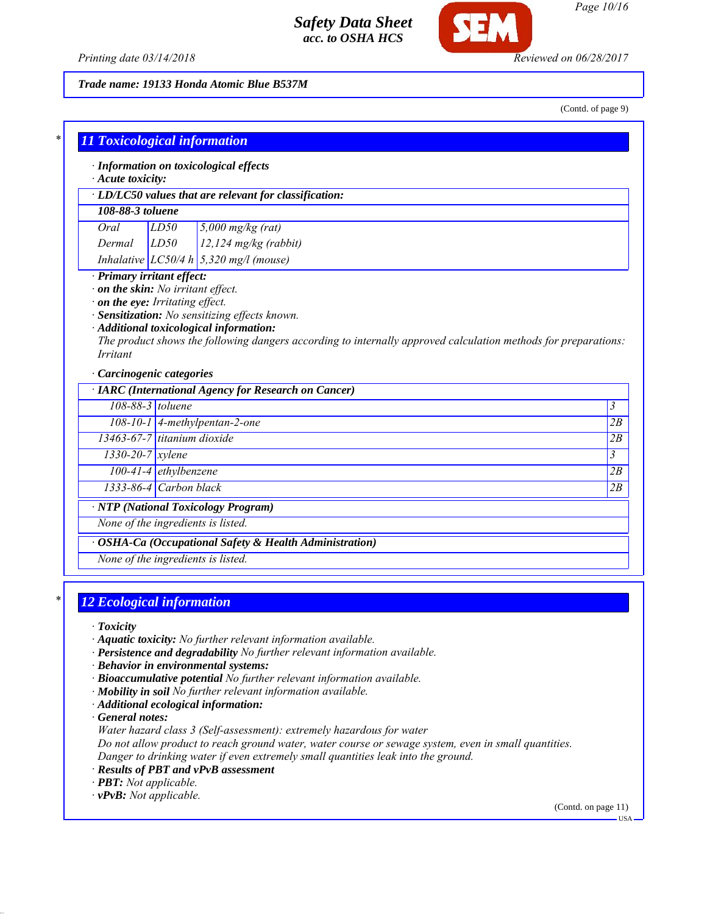

*Page 10/16*

*Printing date 03/14/2018 Reviewed on 06/28/2017*

*Trade name: 19133 Honda Atomic Blue B537M*

(Contd. of page 9)

|                                                                            |                             | · LD/LC50 values that are relevant for classification:                                                                                                                                                                                                            |    |
|----------------------------------------------------------------------------|-----------------------------|-------------------------------------------------------------------------------------------------------------------------------------------------------------------------------------------------------------------------------------------------------------------|----|
| 108-88-3 toluene                                                           |                             |                                                                                                                                                                                                                                                                   |    |
| Oral                                                                       | LD50                        | $\frac{5,000}{\text{mg/kg}}$ (rat)                                                                                                                                                                                                                                |    |
| $Dermal$ $LD50$                                                            |                             | $12,124$ mg/kg (rabbit)                                                                                                                                                                                                                                           |    |
| Inhalative $LC50/4 h \mid 5,320$ mg/l (mouse)                              |                             |                                                                                                                                                                                                                                                                   |    |
| $\cdot$ on the skin: No irritant effect.<br>on the eye: Irritating effect. |                             |                                                                                                                                                                                                                                                                   |    |
| <i>Irritant</i><br>· Carcinogenic categories                               |                             | Sensitization: No sensitizing effects known.<br>· Additional toxicological information:<br>The product shows the following dangers according to internally approved calculation methods for preparations:<br>· IARC (International Agency for Research on Cancer) |    |
|                                                                            | 108-88-3 toluene            |                                                                                                                                                                                                                                                                   | 3  |
|                                                                            |                             | $108-10-1$ 4-methylpentan-2-one                                                                                                                                                                                                                                   | 2B |
|                                                                            | 13463-67-7 titanium dioxide |                                                                                                                                                                                                                                                                   | 2B |
| $1330 - 20 - 7$ <i>xylene</i>                                              |                             |                                                                                                                                                                                                                                                                   | 3  |
|                                                                            | $100-41-4$ ethylbenzene     |                                                                                                                                                                                                                                                                   | 2B |
|                                                                            | $1333-86-4$ Carbon black    |                                                                                                                                                                                                                                                                   | 2B |

# *\* 12 Ecological information*

*· Toxicity*

- *· Aquatic toxicity: No further relevant information available.*
- *· Persistence and degradability No further relevant information available.*
- *· Behavior in environmental systems:*
- *· Bioaccumulative potential No further relevant information available.*
- *· Mobility in soil No further relevant information available.*
- *· Additional ecological information:*

*· General notes:*

*Water hazard class 3 (Self-assessment): extremely hazardous for water*

*Do not allow product to reach ground water, water course or sewage system, even in small quantities. Danger to drinking water if even extremely small quantities leak into the ground.*

- *· Results of PBT and vPvB assessment*
- *· PBT: Not applicable.*
- *· vPvB: Not applicable.*

(Contd. on page 11)

USA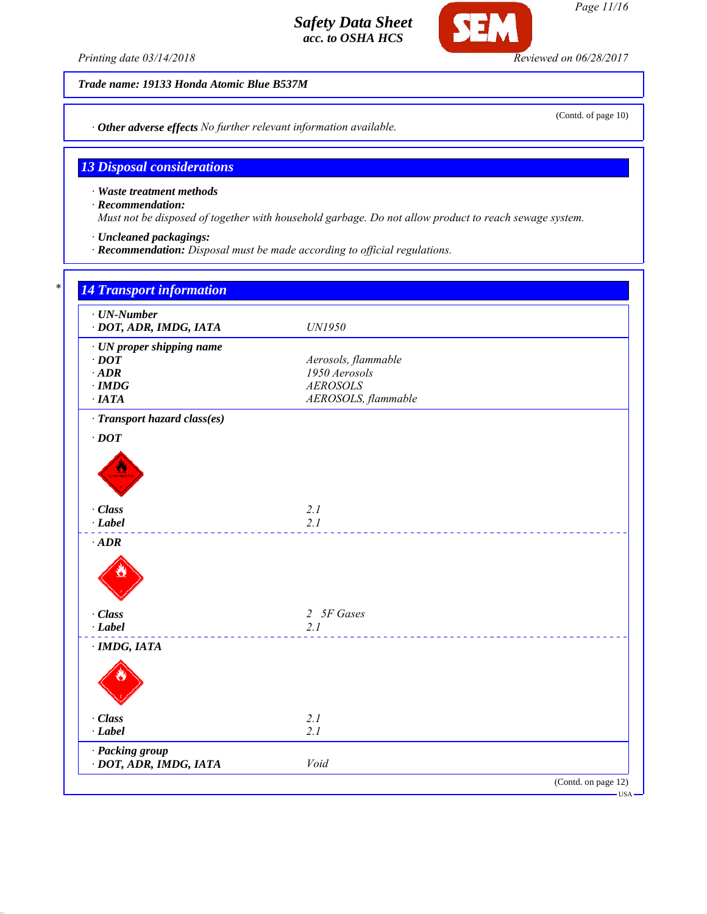*Printing date 03/14/2018 Reviewed on 06/28/2017*

*Trade name: 19133 Honda Atomic Blue B537M*

*· Other adverse effects No further relevant information available.*

## *13 Disposal considerations*

*· Waste treatment methods*

*· Recommendation:*

*Must not be disposed of together with household garbage. Do not allow product to reach sewage system.*

*· Uncleaned packagings:*

*· Recommendation: Disposal must be made according to official regulations.*

| $\cdot$ UN-Number<br>· DOT, ADR, IMDG, IATA | UN1950              |  |
|---------------------------------------------|---------------------|--|
| · UN proper shipping name                   |                     |  |
| $\cdot$ DOT                                 | Aerosols, flammable |  |
| $\cdot$ ADR                                 | 1950 Aerosols       |  |
| $\cdot$ IMDG                                | <b>AEROSOLS</b>     |  |
| $\cdot$ IATA                                | AEROSOLS, flammable |  |
| · Transport hazard class(es)                |                     |  |
| $\cdot$ DOT                                 |                     |  |
|                                             |                     |  |
|                                             |                     |  |
|                                             |                     |  |
|                                             |                     |  |
| · Class                                     | 2.1                 |  |
| $-Label$                                    | 2.1                 |  |
| $\cdot$ ADR                                 |                     |  |
|                                             |                     |  |
|                                             |                     |  |
|                                             |                     |  |
|                                             |                     |  |
| · Class                                     | 2 5F Gases          |  |
| $-Label$                                    | 2.1                 |  |
| $·$ IMDG, IATA                              |                     |  |
|                                             |                     |  |
|                                             |                     |  |
|                                             |                     |  |
|                                             |                     |  |
| · Class                                     | 2.1                 |  |
| $-Label$                                    | 2.1                 |  |
| · Packing group                             |                     |  |
| · DOT, ADR, IMDG, IATA                      | Void                |  |

*Page 11/16*

**SEM** 

(Contd. of page 10)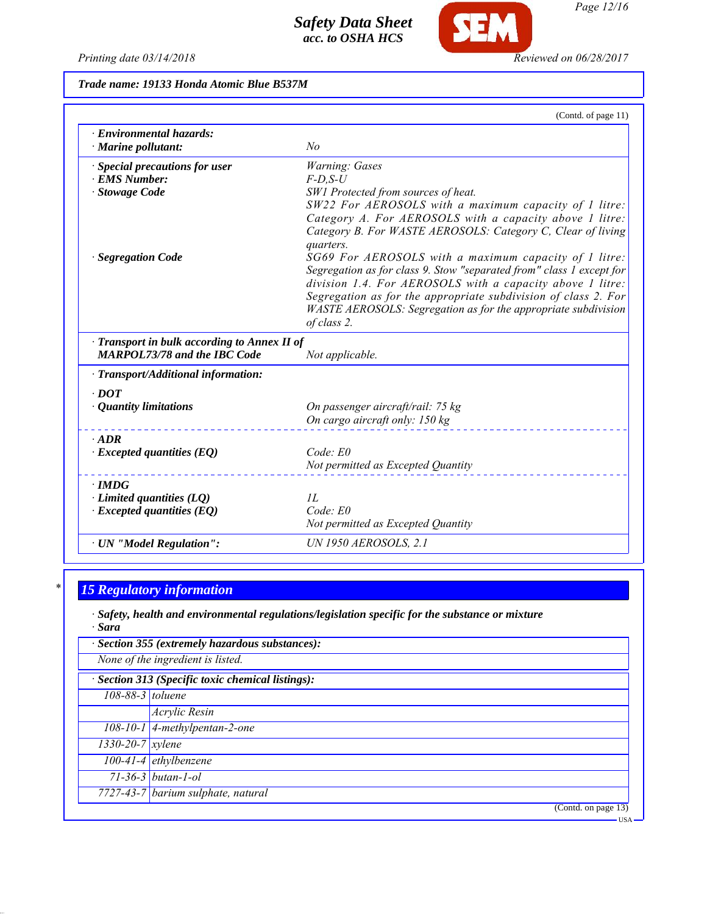*Printing date 03/14/2018 Reviewed on 06/28/2017*

**SEM** 

*Trade name: 19133 Honda Atomic Blue B537M*

|                                                       | (Contd. of page 11)                                                  |
|-------------------------------------------------------|----------------------------------------------------------------------|
| · Environmental hazards:<br>$\cdot$ Marine pollutant: | No                                                                   |
| · Special precautions for user                        | Warning: Gases                                                       |
| · EMS Number:                                         | $F$ -D.S-U                                                           |
| · Stowage Code                                        | SW1 Protected from sources of heat.                                  |
|                                                       | SW22 For AEROSOLS with a maximum capacity of 1 litre:                |
|                                                       | Category A. For AEROSOLS with a capacity above 1 litre:              |
|                                                       | Category B. For WASTE AEROSOLS: Category C, Clear of living          |
|                                                       | quarters.<br>SG69 For AEROSOLS with a maximum capacity of 1 litre:   |
| <b>Segregation Code</b>                               | Segregation as for class 9. Stow "separated from" class 1 except for |
|                                                       | division 1.4. For AEROSOLS with a capacity above 1 litre:            |
|                                                       | Segregation as for the appropriate subdivision of class 2. For       |
|                                                       | WASTE AEROSOLS: Segregation as for the appropriate subdivision       |
|                                                       | of class 2.                                                          |
| · Transport in bulk according to Annex II of          |                                                                      |
| <b>MARPOL73/78 and the IBC Code</b>                   | Not applicable.                                                      |
| · Transport/Additional information:                   |                                                                      |
| $\cdot$ DOT                                           |                                                                      |
| · Quantity limitations                                | On passenger aircraft/rail: 75 kg                                    |
|                                                       | On cargo aircraft only: 150 kg                                       |
| $\cdot$ ADR                                           |                                                                      |
| $\cdot$ Excepted quantities (EQ)                      | Code: E0                                                             |
|                                                       | Not permitted as Excepted Quantity                                   |
| $\cdot$ IMDG                                          |                                                                      |
| $\cdot$ Limited quantities (LQ)                       | IL                                                                   |
| $\cdot$ Excepted quantities (EQ)                      | Code: E0                                                             |
|                                                       | Not permitted as Excepted Quantity                                   |
| · UN "Model Regulation":                              | <b>UN 1950 AEROSOLS, 2.1</b>                                         |

# *\* 15 Regulatory information*

*· Safety, health and environmental regulations/legislation specific for the substance or mixture · Sara*

|                                                   | · Section 355 (extremely hazardous substances): |  |  |
|---------------------------------------------------|-------------------------------------------------|--|--|
|                                                   | None of the ingredient is listed.               |  |  |
| · Section 313 (Specific toxic chemical listings): |                                                 |  |  |
| 108-88-3 toluene                                  |                                                 |  |  |
|                                                   | Acrylic Resin                                   |  |  |
|                                                   | 108-10-1 4-methylpentan-2-one                   |  |  |
| $1330 - 20 - 7$ xylene                            |                                                 |  |  |
|                                                   | $100-41-4$ ethylbenzene                         |  |  |
|                                                   | $71-36-3$ butan-1-ol                            |  |  |
|                                                   | 7727-43-7 barium sulphate, natural              |  |  |
|                                                   | (Contd. on page 13)                             |  |  |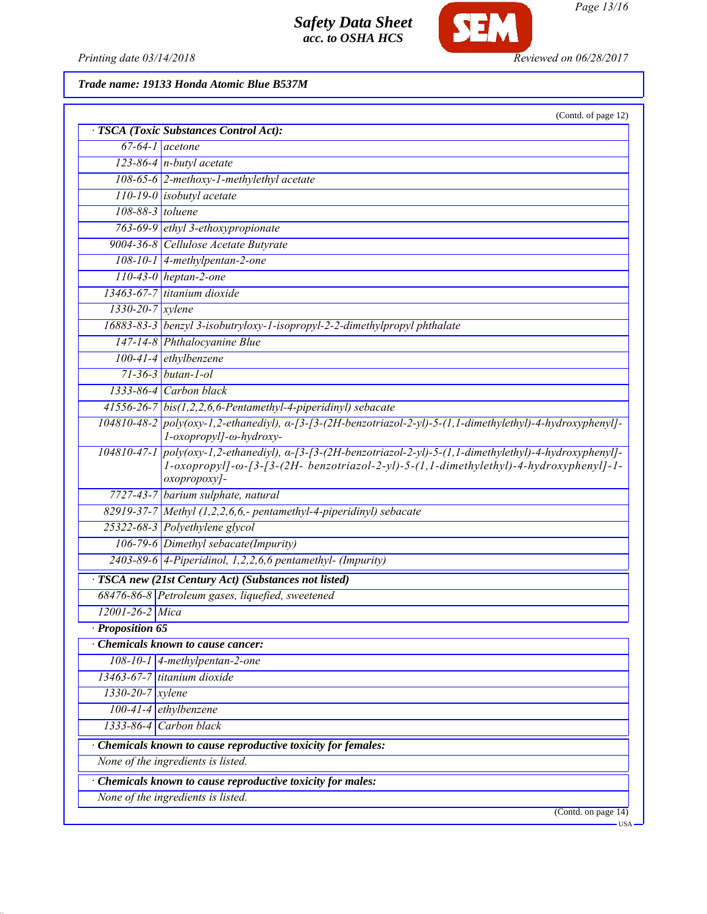

*Page 13/16*

*Printing date 03/14/2018 Reviewed on 06/28/2017*

*Trade name: 19133 Honda Atomic Blue B537M*

|                               | (Contd. of page 12)<br>· TSCA (Toxic Substances Control Act):                                                                                                                                                                    |
|-------------------------------|----------------------------------------------------------------------------------------------------------------------------------------------------------------------------------------------------------------------------------|
|                               | $67-64-1$ acetone                                                                                                                                                                                                                |
|                               | $123-86-4$ n-butyl acetate                                                                                                                                                                                                       |
|                               | $108-65-6$ 2-methoxy-1-methylethyl acetate                                                                                                                                                                                       |
|                               | $110-19-0$ isobutyl acetate                                                                                                                                                                                                      |
| 108-88-3 toluene              |                                                                                                                                                                                                                                  |
|                               | 763-69-9 ethyl 3-ethoxypropionate                                                                                                                                                                                                |
|                               | 9004-36-8 Cellulose Acetate Butyrate                                                                                                                                                                                             |
|                               | $108 - 10 - 1$ 4-methylpentan-2-one                                                                                                                                                                                              |
|                               | $110-43-0$ heptan-2-one                                                                                                                                                                                                          |
|                               | 13463-67-7 titanium dioxide                                                                                                                                                                                                      |
| $1330 - 20 - 7$ xylene        |                                                                                                                                                                                                                                  |
|                               | 16883-83-3   benzyl 3-isobutryloxy-1-isopropyl-2-2-dimethylpropyl phthalate                                                                                                                                                      |
|                               | 147-14-8 Phthalocyanine Blue                                                                                                                                                                                                     |
|                               | $100-41-4$ ethylbenzene                                                                                                                                                                                                          |
|                               | $71 - 36 - 3$ butan-1-ol                                                                                                                                                                                                         |
|                               | 1333-86-4 Carbon black                                                                                                                                                                                                           |
|                               | $41556-26-7$ bis(1,2,2,6,6-Pentamethyl-4-piperidinyl) sebacate                                                                                                                                                                   |
|                               | $104810-48-2$ poly(oxy-1,2-ethanediyl), $\alpha$ -[3-[3-(2H-benzotriazol-2-yl)-5-(1,1-dimethylethyl)-4-hydroxyphenyl]-<br>l-oxopropyl]-ω-hydroxy-                                                                                |
|                               | $104810-47-1$ poly(oxy-1,2-ethanediyl), $\alpha$ -[3-[3-(2H-benzotriazol-2-yl)-5-(1,1-dimethylethyl)-4-hydroxyphenyl]-<br>1-oxopropyl]-ω-[3-[3-(2H- benzotriazol-2-yl)-5-(1,1-dimethylethyl)-4-hydroxyphenyl]-1-<br>oxopropoxy]- |
|                               | 7727-43-7 barium sulphate, natural                                                                                                                                                                                               |
|                               | 82919-37-7 Methyl $(1,2,2,6,6,$ - pentamethyl-4-piperidinyl) sebacate                                                                                                                                                            |
|                               | 25322-68-3 Polyethylene glycol                                                                                                                                                                                                   |
|                               | 106-79-6 Dimethyl sebacate(Impurity)                                                                                                                                                                                             |
|                               | 2403-89-6 4-Piperidinol, 1,2,2,6,6 pentamethyl- (Impurity)                                                                                                                                                                       |
|                               | · TSCA new (21st Century Act) (Substances not listed)                                                                                                                                                                            |
|                               | 68476-86-8 Petroleum gases, liquefied, sweetened                                                                                                                                                                                 |
| $12001 - 26 - 2$ Mica         |                                                                                                                                                                                                                                  |
| <b>Proposition 65</b>         |                                                                                                                                                                                                                                  |
|                               | <b>Chemicals known to cause cancer:</b>                                                                                                                                                                                          |
|                               | $108-10-1$ 4-methylpentan-2-one                                                                                                                                                                                                  |
|                               | 13463-67-7 titanium dioxide                                                                                                                                                                                                      |
| $1330 - 20 - 7$ <i>xylene</i> |                                                                                                                                                                                                                                  |
|                               | $100-41-4$ ethylbenzene                                                                                                                                                                                                          |
|                               | $1333-86-4$ Carbon black                                                                                                                                                                                                         |
|                               | Chemicals known to cause reproductive toxicity for females:                                                                                                                                                                      |
|                               | None of the ingredients is listed.                                                                                                                                                                                               |
|                               | Chemicals known to cause reproductive toxicity for males:                                                                                                                                                                        |
|                               | None of the ingredients is listed.                                                                                                                                                                                               |
|                               | (Contd. on page 14)                                                                                                                                                                                                              |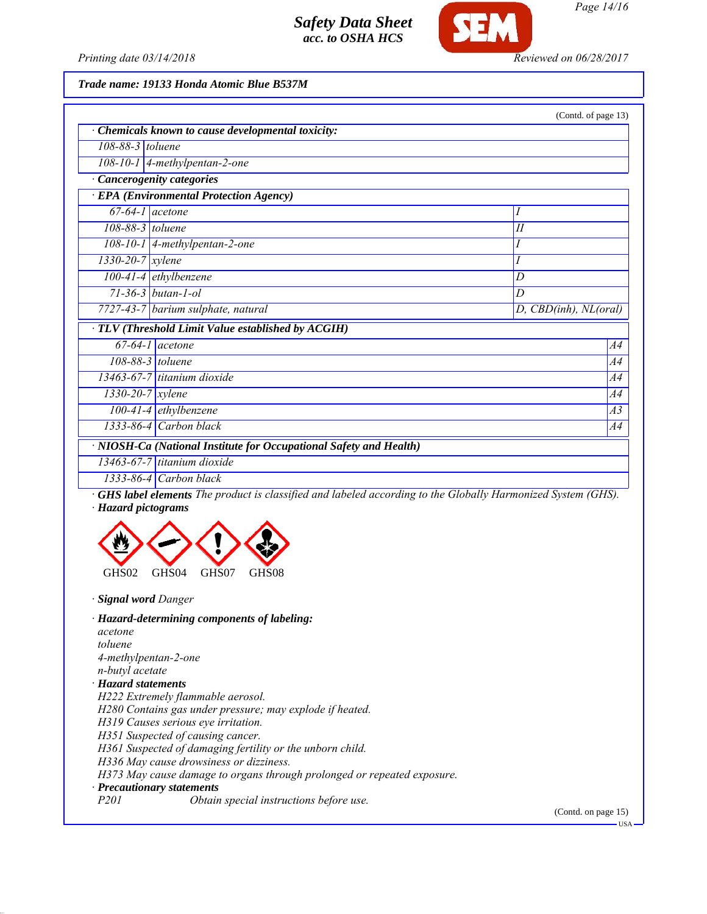



*Page 14/16*

*Printing date 03/14/2018 Reviewed on 06/28/2017*

*Trade name: 19133 Honda Atomic Blue B537M*

| (Contd. of page 13)                                                |                                                  |                           |  |  |
|--------------------------------------------------------------------|--------------------------------------------------|---------------------------|--|--|
|                                                                    | Chemicals known to cause developmental toxicity: |                           |  |  |
| 108-88-3 toluene                                                   |                                                  |                           |  |  |
|                                                                    | $108-10-1$ 4-methylpentan-2-one                  |                           |  |  |
| · Cancerogenity categories                                         |                                                  |                           |  |  |
| · EPA (Environmental Protection Agency)                            |                                                  |                           |  |  |
|                                                                    | $67-64-1$ acetone                                | Ι                         |  |  |
| 108-88-3 toluene                                                   |                                                  | $\overline{\overline{H}}$ |  |  |
|                                                                    | 108-10-1 $\vert$ 4-methylpentan-2-one            |                           |  |  |
| $1330 - 20 - 7$ <i>xylene</i>                                      |                                                  |                           |  |  |
|                                                                    | $100-41-4$ ethylbenzene                          | D                         |  |  |
|                                                                    | $71 - 36 - 3$ butan-1-ol                         | D                         |  |  |
|                                                                    | 7727-43-7 barium sulphate, natural               | D, CBD(inh), NL(oral)     |  |  |
| $\cdot$ TLV (Threshold Limit Value established by ACGIH)           |                                                  |                           |  |  |
|                                                                    | $67-64-1$ acetone                                | A4                        |  |  |
|                                                                    | $108-88-3$ toluene                               | <i>A4</i>                 |  |  |
|                                                                    | 13463-67-7 titanium dioxide                      | A4                        |  |  |
| $1330 - 20 - 7$ xylene                                             |                                                  | A4                        |  |  |
|                                                                    | 100-41-4 ethylbenzene                            | $\overline{A3}$           |  |  |
|                                                                    | $1333-86-4$ Carbon black                         | A4                        |  |  |
| · NIOSH-Ca (National Institute for Occupational Safety and Health) |                                                  |                           |  |  |
|                                                                    | $13463 - 67 - 7$ titanium dioxide                |                           |  |  |
|                                                                    | $1333-86-4$ Carbon black                         |                           |  |  |

*· GHS label elements The product is classified and labeled according to the Globally Harmonized System (GHS). · Hazard pictograms*



*· Signal word Danger*

| · Hazard-determining components of labeling:                            |  |  |
|-------------------------------------------------------------------------|--|--|
| acetone                                                                 |  |  |
| toluene                                                                 |  |  |
| 4-methylpentan-2-one                                                    |  |  |
| n-butyl acetate                                                         |  |  |
| · Hazard statements                                                     |  |  |
| H222 Extremely flammable aerosol.                                       |  |  |
| H280 Contains gas under pressure; may explode if heated.                |  |  |
| H319 Causes serious eye irritation.                                     |  |  |
| H351 Suspected of causing cancer.                                       |  |  |
| H361 Suspected of damaging fertility or the unborn child.               |  |  |
| H336 May cause drowsiness or dizziness.                                 |  |  |
| H373 May cause damage to organs through prolonged or repeated exposure. |  |  |
| · Precautionary statements                                              |  |  |
| P201<br>Obtain special instructions before use.                         |  |  |

(Contd. on page 15)

 $-USA$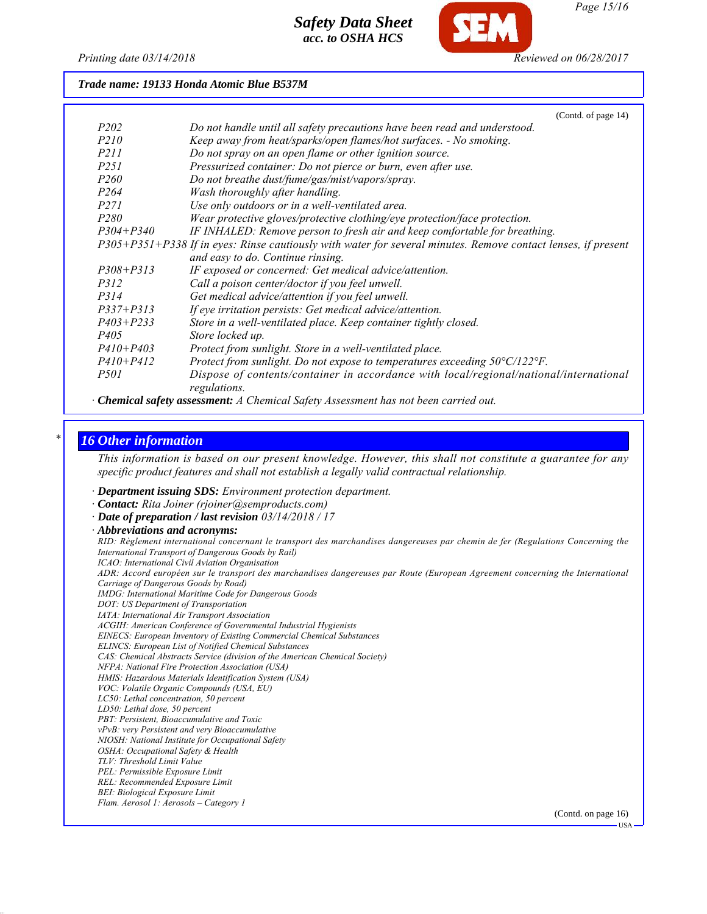

*Page 15/16*

*Printing date 03/14/2018 Reviewed on 06/28/2017*

*Trade name: 19133 Honda Atomic Blue B537M*

|                  | (Contd. of page 14)                                                                                           |
|------------------|---------------------------------------------------------------------------------------------------------------|
| P <sub>202</sub> | Do not handle until all safety precautions have been read and understood.                                     |
| P <sub>210</sub> | Keep away from heat/sparks/open flames/hot surfaces. - No smoking.                                            |
| <i>P211</i>      | Do not spray on an open flame or other ignition source.                                                       |
| P <sub>251</sub> | Pressurized container: Do not pierce or burn, even after use.                                                 |
| P <sub>260</sub> | Do not breathe dust/fume/gas/mist/vapors/spray.                                                               |
| P <sub>264</sub> | Wash thoroughly after handling.                                                                               |
| <i>P271</i>      | Use only outdoors or in a well-ventilated area.                                                               |
| P <sub>280</sub> | Wear protective gloves/protective clothing/eye protection/face protection.                                    |
| $P304 + P340$    | IF INHALED: Remove person to fresh air and keep comfortable for breathing.                                    |
|                  | P305+P351+P338 If in eyes: Rinse cautiously with water for several minutes. Remove contact lenses, if present |
|                  | and easy to do. Continue rinsing.                                                                             |
| $P308 + P313$    | IF exposed or concerned: Get medical advice/attention.                                                        |
| <i>P312</i>      | Call a poison center/doctor if you feel unwell.                                                               |
| P314             | Get medical advice/attention if you feel unwell.                                                              |
| $P337 + P313$    | If eye irritation persists: Get medical advice/attention.                                                     |
| $P403 + P233$    | Store in a well-ventilated place. Keep container tightly closed.                                              |
| P <sub>405</sub> | Store locked up.                                                                                              |
| $P410 + P403$    | Protect from sunlight. Store in a well-ventilated place.                                                      |
| $P410 + P412$    | Protect from sunlight. Do not expose to temperatures exceeding $50^{\circ}C/122^{\circ}F$ .                   |
| <i>P501</i>      | Dispose of contents/container in accordance with local/regional/national/international<br>regulations.        |

#### *· Chemical safety assessment: A Chemical Safety Assessment has not been carried out.*

#### *\* 16 Other information*

*This information is based on our present knowledge. However, this shall not constitute a guarantee for any specific product features and shall not establish a legally valid contractual relationship.*

- *· Department issuing SDS: Environment protection department.*
- *· Contact: Rita Joiner (rjoiner@semproducts.com)*
- *· Date of preparation / last revision 03/14/2018 / 17*
- *· Abbreviations and acronyms:*

*RID: Règlement international concernant le transport des marchandises dangereuses par chemin de fer (Regulations Concerning the International Transport of Dangerous Goods by Rail) ICAO: International Civil Aviation Organisation ADR: Accord européen sur le transport des marchandises dangereuses par Route (European Agreement concerning the International Carriage of Dangerous Goods by Road) IMDG: International Maritime Code for Dangerous Goods DOT: US Department of Transportation IATA: International Air Transport Association ACGIH: American Conference of Governmental Industrial Hygienists EINECS: European Inventory of Existing Commercial Chemical Substances ELINCS: European List of Notified Chemical Substances CAS: Chemical Abstracts Service (division of the American Chemical Society) NFPA: National Fire Protection Association (USA) HMIS: Hazardous Materials Identification System (USA) VOC: Volatile Organic Compounds (USA, EU) LC50: Lethal concentration, 50 percent LD50: Lethal dose, 50 percent PBT: Persistent, Bioaccumulative and Toxic vPvB: very Persistent and very Bioaccumulative NIOSH: National Institute for Occupational Safety OSHA: Occupational Safety & Health TLV: Threshold Limit Value PEL: Permissible Exposure Limit REL: Recommended Exposure Limit BEI: Biological Exposure Limit Flam. Aerosol 1: Aerosols – Category 1* (Contd. on page 16)